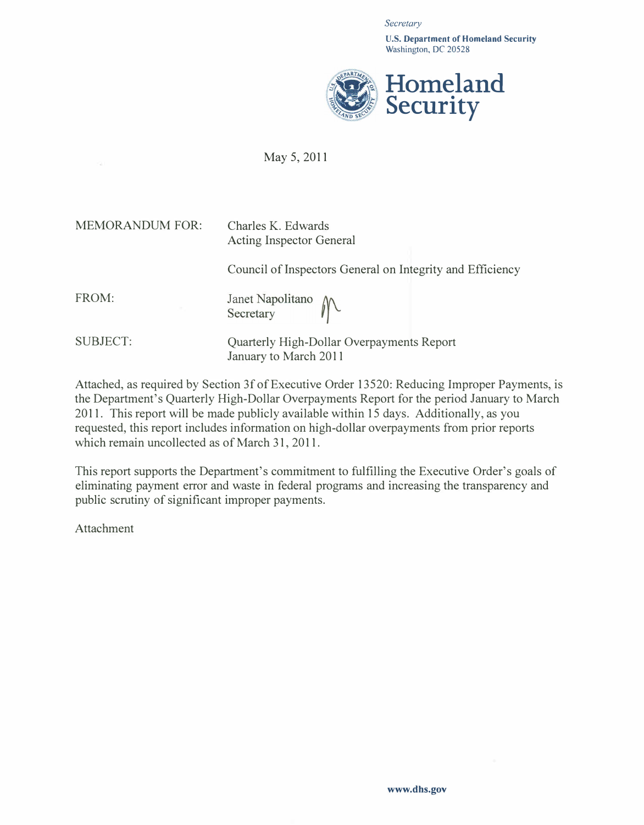**Secretary** 

U.S. Department of Homeland Security Washington, DC 20528



## May 5, 2011

| <b>MEMORANDUM FOR:</b> | Charles K. Edwards<br><b>Acting Inspector General</b>              |
|------------------------|--------------------------------------------------------------------|
|                        | Council of Inspectors General on Integrity and Efficiency          |
| FROM:                  | Janet Napolitano<br>Secretary                                      |
| <b>SUBJECT:</b>        | Quarterly High-Dollar Overpayments Report<br>January to March 2011 |

Attached, as required by Section 3f of Executive Order 13520: Reducing Improper Payments, is the Department's Quarterly High-Dollar Overpayments Report for the period January to March 2011. This report will be made publicly available within 15 days. Additionally, as you requested, this report includes information on high-dollar overpayments from prior reports which remain uncollected as of March 31, 2011.

This report supports the Department's commitment to fulfilling the Executive Order's goals of eliminating payment error and waste in federal programs and increasing the transparency and public scrutiny of significant improper payments.

Attachment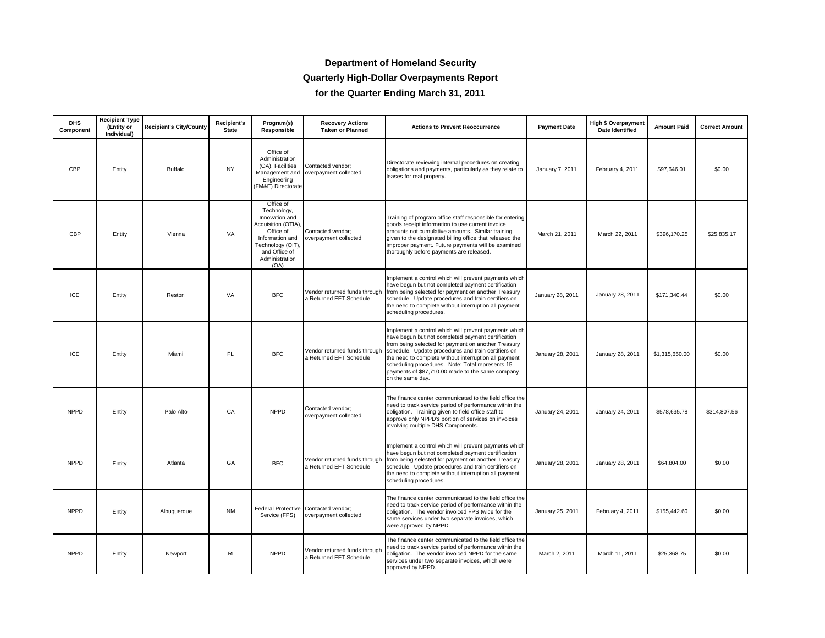### **Department of Homeland Security**

### **Quarterly High-Dollar Overpayments Report**

**for the Quarter Ending March 31, 2011**

| <b>DHS</b><br>Component | Recipient Type<br>(Entity or<br>Individual) | <b>Recipient's City/County</b> | <b>Recipient's</b><br><b>State</b> | Program(s)<br><b>Responsible</b>                                                                                                                                 | <b>Recovery Actions</b><br><b>Taken or Planned</b>            | <b>Actions to Prevent Reoccurrence</b>                                                                                                                                                                                                                                                                                                                                                                         | <b>Payment Date</b> | <b>High \$ Overpayment</b><br><b>Date Identified</b> | <b>Amount Paid</b> | <b>Correct Amount</b> |
|-------------------------|---------------------------------------------|--------------------------------|------------------------------------|------------------------------------------------------------------------------------------------------------------------------------------------------------------|---------------------------------------------------------------|----------------------------------------------------------------------------------------------------------------------------------------------------------------------------------------------------------------------------------------------------------------------------------------------------------------------------------------------------------------------------------------------------------------|---------------------|------------------------------------------------------|--------------------|-----------------------|
| CBP                     | Entity                                      | Buffalo                        | <b>NY</b>                          | Office of<br>Administration<br>(OA), Facilities<br>Engineering<br>(FM&E) Directorate                                                                             | Contacted vendor;<br>Management and overpayment collected     | Directorate reviewing internal procedures on creating<br>obligations and payments, particularly as they relate to<br>leases for real property.                                                                                                                                                                                                                                                                 | January 7, 2011     | February 4, 2011                                     | \$97,646.01        | \$0.00                |
| CBP                     | Entity                                      | Vienna                         | VA                                 | Office of<br>Technology,<br>Innovation and<br>Acquisition (OTIA),<br>Office of<br>Information and<br>Technology (OIT)<br>and Office of<br>Administration<br>(OA) | Contacted vendor;<br>overpayment collected                    | Training of program office staff responsible for entering<br>goods receipt information to use current invoice<br>amounts not cumulative amounts. Similar training<br>given to the designated billing office that released the<br>improper payment. Future payments will be examined<br>thoroughly before payments are released.                                                                                | March 21, 2011      | March 22, 2011                                       | \$396.170.25       | \$25,835.17           |
| ICE                     | Entity                                      | Reston                         | VA                                 | <b>BFC</b>                                                                                                                                                       | Vendor returned funds through<br>a Returned EFT Schedule      | Implement a control which will prevent payments which<br>have begun but not completed payment certification<br>from being selected for payment on another Treasury<br>schedule. Update procedures and train certifiers on<br>the need to complete without interruption all payment<br>scheduling procedures.                                                                                                   | January 28, 2011    | January 28, 2011                                     | \$171,340.44       | \$0.00                |
| ICE                     | Entity                                      | Miami                          | FL                                 | <b>BFC</b>                                                                                                                                                       | Vendor returned funds through<br>a Returned EFT Schedule      | Implement a control which will prevent payments which<br>have begun but not completed payment certification<br>from being selected for payment on another Treasury<br>schedule. Update procedures and train certifiers on<br>the need to complete without interruption all payment<br>scheduling procedures. Note: Total represents 15<br>payments of \$87,710.00 made to the same company<br>on the same day. | January 28, 2011    | January 28, 2011                                     | \$1,315,650.00     | \$0.00                |
| <b>NPPD</b>             | Entity                                      | Palo Alto                      | CA                                 | <b>NPPD</b>                                                                                                                                                      | Contacted vendor;<br>overpayment collected                    | The finance center communicated to the field office the<br>need to track service period of performance within the<br>obligation. Training given to field office staff to<br>approve only NPPD's portion of services on invoices<br>involving multiple DHS Components.                                                                                                                                          | January 24, 2011    | January 24, 2011                                     | \$578,635.78       | \$314,807.56          |
| <b>NPPD</b>             | Entity                                      | Atlanta                        | GA                                 | <b>BFC</b>                                                                                                                                                       | Vendor returned funds through<br>a Returned EFT Schedule      | Implement a control which will prevent payments which<br>have begun but not completed payment certification<br>from being selected for payment on another Treasury<br>schedule. Update procedures and train certifiers on<br>the need to complete without interruption all payment<br>scheduling procedures.                                                                                                   | January 28, 2011    | January 28, 2011                                     | \$64,804.00        | \$0.00                |
| <b>NPPD</b>             | Entity                                      | Albuquerque                    | <b>NM</b>                          | Service (FPS)                                                                                                                                                    | Federal Protective Contacted vendor;<br>overpayment collected | The finance center communicated to the field office the<br>need to track service period of performance within the<br>obligation. The vendor invoiced FPS twice for the<br>same services under two separate invoices, which<br>were approved by NPPD.                                                                                                                                                           | January 25, 2011    | February 4, 2011                                     | \$155,442.60       | \$0.00                |
| <b>NPPD</b>             | Entity                                      | Newport                        | R <sub>1</sub>                     | <b>NPPD</b>                                                                                                                                                      | Vendor returned funds through<br>a Returned EFT Schedule      | The finance center communicated to the field office the<br>need to track service period of performance within the<br>obligation. The vendor invoiced NPPD for the same<br>services under two separate invoices, which were<br>approved by NPPD.                                                                                                                                                                | March 2, 2011       | March 11, 2011                                       | \$25,368.75        | \$0.00                |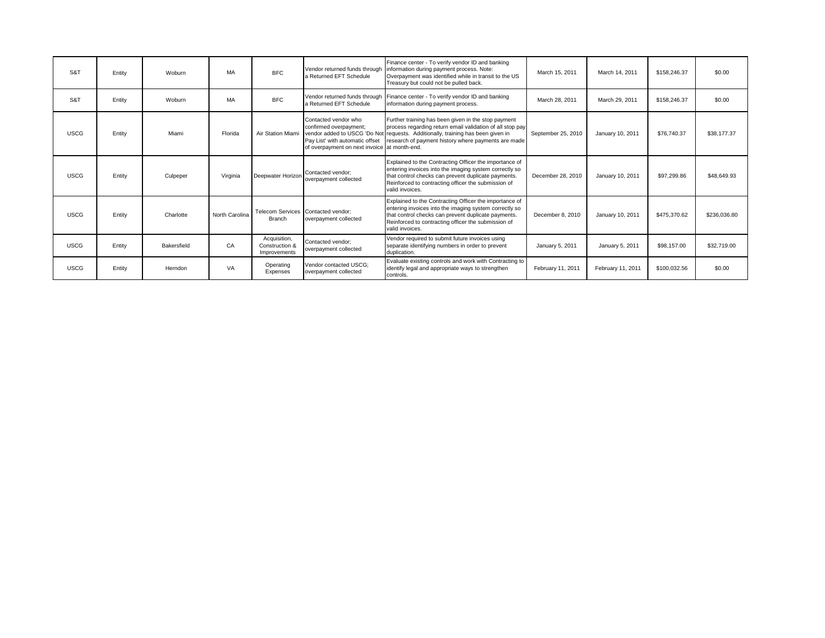| S&T         | Entity | Woburn      | MA             | <b>BFC</b>                                     | Vendor returned funds through<br>a Returned EFT Schedule                                                                          | Finance center - To verify vendor ID and banking<br>information during payment process. Note:<br>Overpayment was identified while in transit to the US<br>Treasury but could not be pulled back.                                                           | March 15, 2011     | March 14, 2011    | \$158,246.37 | \$0.00       |
|-------------|--------|-------------|----------------|------------------------------------------------|-----------------------------------------------------------------------------------------------------------------------------------|------------------------------------------------------------------------------------------------------------------------------------------------------------------------------------------------------------------------------------------------------------|--------------------|-------------------|--------------|--------------|
| S&T         | Entity | Woburn      | MA             | <b>BFC</b>                                     | Vendor returned funds through<br>a Returned EFT Schedule                                                                          | Finance center - To verify vendor ID and banking<br>information during payment process.                                                                                                                                                                    | March 28, 2011     | March 29, 2011    | \$158,246.37 | \$0.00       |
| <b>USCG</b> | Entity | Miami       | Florida        | Air Station Miami                              | Contacted vendor who<br>confirmed overpayment;<br>Pay List' with automatic offset<br>of overpayment on next invoice at month-end. | Further training has been given in the stop payment<br>process regarding return email validation of all stop pay<br>vendor added to USCG 'Do Not requests. Additionally, training has been given in<br>research of payment history where payments are made | September 25, 2010 | January 10, 2011  | \$76,740.37  | \$38,177,37  |
| <b>USCG</b> | Entity | Culpeper    | Virginia       | Deepwater Horizon                              | Contacted vendor:<br>overpayment collected                                                                                        | Explained to the Contracting Officer the importance of<br>entering invoices into the imaging system correctly so<br>that control checks can prevent duplicate payments.<br>Reinforced to contracting officer the submission of<br>valid invoices.          | December 28, 2010  | January 10, 2011  | \$97,299.86  | \$48,649.93  |
| <b>USCG</b> | Entity | Charlotte   | North Carolina | <b>Branch</b>                                  | Telecom Services Contacted vendor:<br>overpayment collected                                                                       | Explained to the Contracting Officer the importance of<br>entering invoices into the imaging system correctly so<br>that control checks can prevent duplicate payments.<br>Reinforced to contracting officer the submission of<br>valid invoices.          | December 8, 2010   | January 10, 2011  | \$475,370.62 | \$236,036.80 |
| <b>USCG</b> | Entity | Bakersfield | CA             | Acquisition,<br>Construction &<br>Improvements | Contacted vendor:<br>overpayment collected                                                                                        | Vendor required to submit future invoices using<br>separate identifying numbers in order to prevent<br>duplication.                                                                                                                                        | January 5, 2011    | January 5, 2011   | \$98,157.00  | \$32,719.00  |
| <b>USCG</b> | Entity | Herndon     | VA             | Operating<br>Expenses                          | Vendor contacted USCG;<br>overpayment collected                                                                                   | Evaluate existing controls and work with Contracting to<br>identify legal and appropriate ways to strengthen<br>controls.                                                                                                                                  | February 11, 2011  | February 11, 2011 | \$100,032.56 | \$0.00       |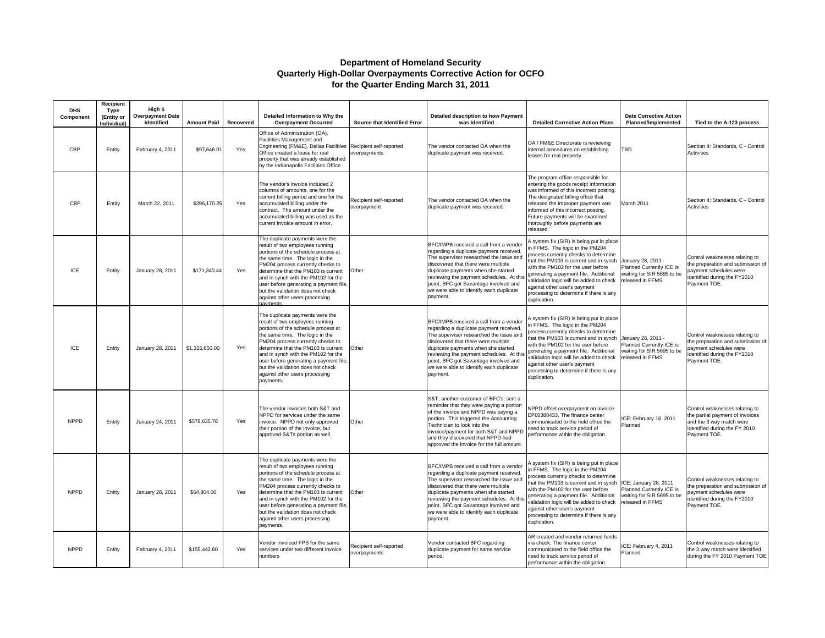#### **Department of Homeland Security Quarterly High-Dollar Overpayments Corrective Action for OCFO for the Quarter Ending March 31, 2011**

| <b>DHS</b><br>Component | Recipient<br>Type<br>(Entity or<br>Individual) | High \$<br><b>Overpayment Date</b><br><b>Identified</b> | <b>Amount Paid</b> | Recovered | Detailed Information to Why the<br><b>Overpayment Occurred</b>                                                                                                                                                                                                                                                                                                                                | Source that Identified Error            | <b>Detailed description to how Payment</b><br>was Identified                                                                                                                                                                                                                                                                                           | <b>Detailed Corrective Action Plans</b>                                                                                                                                                                                                                                                                                                                                             | <b>Date Corrective Action</b><br>Planned/Implemented                                                | Tied to the A-123 process                                                                                                                      |
|-------------------------|------------------------------------------------|---------------------------------------------------------|--------------------|-----------|-----------------------------------------------------------------------------------------------------------------------------------------------------------------------------------------------------------------------------------------------------------------------------------------------------------------------------------------------------------------------------------------------|-----------------------------------------|--------------------------------------------------------------------------------------------------------------------------------------------------------------------------------------------------------------------------------------------------------------------------------------------------------------------------------------------------------|-------------------------------------------------------------------------------------------------------------------------------------------------------------------------------------------------------------------------------------------------------------------------------------------------------------------------------------------------------------------------------------|-----------------------------------------------------------------------------------------------------|------------------------------------------------------------------------------------------------------------------------------------------------|
| CBP                     | Entity                                         | February 4, 2011                                        | \$97,646.01        | Yes       | Office of Administration (OA).<br>Facilities Management and<br>Engineering (FM&E), Dallas Facilities<br>Office created a lease for real<br>property that was already established<br>by the Indianapolis Facilities Office.                                                                                                                                                                    | Recipient self-reported<br>overpayments | The vendor contacted OA when the<br>duplicate payment was received.                                                                                                                                                                                                                                                                                    | OA / FM&E Directorate is reviewing<br>internal procedures on establishing<br>leases for real property.                                                                                                                                                                                                                                                                              | TBD                                                                                                 | Section II: Standards, C - Control<br>Activities                                                                                               |
| CBP                     | Entity                                         | March 22, 2011                                          | \$396.170.25       | Yes       | The vendor's invoice included 2<br>columns of amounts, one for the<br>current billing period and one for the<br>accumulated billing under the<br>contract. The amount under the<br>accumulated billing was used as the<br>current invoice amount in error.                                                                                                                                    | Recipient self-reported<br>overpayment  | The vendor contacted OA when the<br>duplicate payment was received.                                                                                                                                                                                                                                                                                    | The program office responsible for<br>entering the goods receipt information<br>was informed of this incorrect posting.<br>The designated billing office that<br>released the improper payment was<br>informed of this incorrect posting.<br>Future payments will be examined<br>thoroughly before payments are<br>released.                                                        | March 2011                                                                                          | Section II: Standards, C - Control<br>Activities                                                                                               |
| ICE                     | Entity                                         | January 28, 2011                                        | \$171,340.44       | Yes       | The duplicate payments were the<br>result of two employees running<br>portions of the schedule process at<br>the same time. The logic in the<br>PM204 process currently checks to<br>determine that the PM103 is current<br>and in synch with the PM102 for the<br>user before generating a payment file,<br>but the validation does not check<br>against other users processing<br>payments  | Other                                   | BFC/IMPB received a call from a vendor<br>regarding a duplicate payment received.<br>The supervisor researched the issue and<br>discovered that there were multiple<br>duplicate payments when she started<br>reviewing the payment schedules. At this<br>point, BFC got Savantage involved and<br>we were able to identify each duplicate<br>payment. | A system fix (SIR) is being put in place<br>n FFMS. The logic in the PM204<br>process currently checks to determine<br>that the PM103 is current and in synch<br>with the PM102 for the user before<br>generating a payment file. Additional<br>validation logic will be added to check<br>against other user's payment<br>processing to determine if there is any<br>duplication.  | January 28, 2011 -<br>Planned Currently ICE is<br>waiting for SIR 5695 to be<br>released in FFMS    | Control weaknesses relating to<br>he preparation and submission of<br>payment schedules were<br>identified during the FY2010<br>Payment TOE.   |
| ICE                     | Entity                                         | January 28, 2011                                        | \$1,315,650.00     | Yes       | The duplicate payments were the<br>result of two employees running<br>portions of the schedule process at<br>the same time. The logic in the<br>PM204 process currently checks to<br>determine that the PM103 is current<br>and in synch with the PM102 for the<br>user before generating a payment file,<br>but the validation does not check<br>against other users processing<br>payments. | Other                                   | BFC/IMPB received a call from a vendor<br>regarding a duplicate payment received.<br>The supervisor researched the issue and<br>discovered that there were multiple<br>duplicate payments when she started<br>reviewing the payment schedules. At this<br>point, BFC got Savantage involved and<br>we were able to identify each duplicate<br>payment. | A system fix (SIR) is being put in place<br>in FFMS. The logic in the PM204<br>process currently checks to determine<br>that the PM103 is current and in synch<br>with the PM102 for the user before<br>generating a payment file. Additional<br>validation logic will be added to check<br>against other user's payment<br>processing to determine if there is any<br>duplication. | January 28, 2011 -<br>Planned Currently ICE is<br>waiting for SIR 5695 to be<br>released in FFMS    | Control weaknesses relating to<br>he preparation and submission of<br>payment schedules were<br>dentified during the FY2010<br>Payment TOE.    |
| <b>NPPD</b>             | Entity                                         | January 24, 2011                                        | \$578,635.78       | Yes       | The vendor invoices both S&T and<br>NPPD for services under the same<br>invoice. NPPD not only approved<br>their portion of the invoice, but<br>approved S&Ts portion as well.                                                                                                                                                                                                                | Other                                   | S&T, another customer of BFC's, sent a<br>reminder that they were paying a portion<br>of the invoice and NPPD was paying a<br>portion. This triggered the Accounting<br>Technician to look into the<br>invoice/payment for both S&T and NPPD<br>and they discovered that NPPD had<br>approved the invoice for the full amount.                         | NPPD offset overpayment on invoice<br>EP00388433. The finance center<br>communicated to the field office the<br>need to track service period of<br>performance within the obligation.                                                                                                                                                                                               | ICE: February 16, 2011<br>Planned                                                                   | Control weaknesses relating to<br>the partial payment of invoices<br>and the 3 way match were<br>identified during the FY 2010<br>Payment TOE. |
| <b>NPPD</b>             | Entity                                         | January 28, 2011                                        | \$64,804.00        | Yes       | The duplicate payments were the<br>result of two employees running<br>portions of the schedule process at<br>the same time. The logic in the<br>PM204 process currently checks to<br>determine that the PM103 is current<br>and in synch with the PM102 for the<br>user before generating a payment file,<br>but the validation does not check<br>against other users processing<br>payments. | Other                                   | BFC/IMPB received a call from a vendor<br>regarding a duplicate payment received.<br>The supervisor researched the issue and<br>discovered that there were multiple<br>duplicate payments when she started<br>reviewing the payment schedules. At this<br>point, BFC got Savantage involved and<br>we were able to identify each duplicate<br>payment. | A system fix (SIR) is being put in place<br>in FFMS. The logic in the PM204<br>process currently checks to determine<br>that the PM103 is current and in synch<br>with the PM102 for the user before<br>generating a payment file. Additional<br>validation logic will be added to check<br>against other user's payment<br>processing to determine if there is any<br>duplication. | ICE: January 28, 2011<br>Planned Currently ICE is<br>waiting for SIR 5695 to be<br>released in FFMS | Control weaknesses relating to<br>he preparation and submission of<br>payment schedules were<br>dentified during the FY2010<br>Payment TOE.    |
| <b>NPPD</b>             | Entity                                         | February 4, 2011                                        | \$155,442.60       | Yes       | Vendor invoiced FPS for the same<br>services under two different invoice<br>numbers                                                                                                                                                                                                                                                                                                           | Recipient self-reported<br>overpayments | Vendor contacted BFC regarding<br>duplicate payment for same service<br>period.                                                                                                                                                                                                                                                                        | AR created and vendor returned funds<br>via check. The finance center<br>communicated to the field office the<br>need to track service period of<br>performance within the obligation.                                                                                                                                                                                              | ICE: February 4, 2011<br>Planned                                                                    | Control weaknesses relating to<br>the 3 way match were identified<br>during the FY 2010 Payment TOE                                            |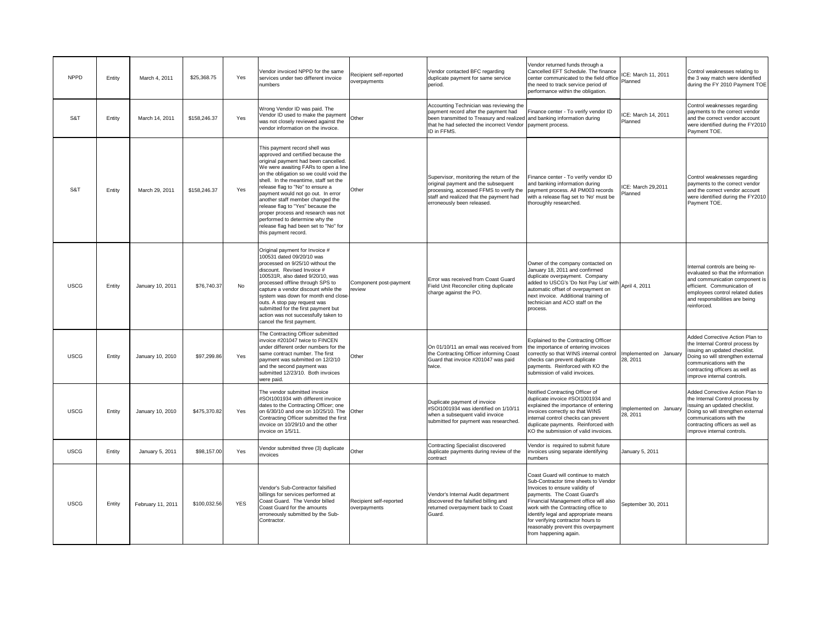| <b>NPPD</b> | Entity | March 4, 2011     | \$25,368.75  | Yes        | Vendor invoiced NPPD for the same<br>services under two different invoice<br>numbers                                                                                                                                                                                                                                                                                                                                                                                                                                                | Recipient self-reported<br>overpayments | Vendor contacted BFC regarding<br>duplicate payment for same service<br>period.                                                                                                                     | Vendor returned funds through a<br>Cancelled EFT Schedule. The finance<br>center communicated to the field office<br>the need to track service period of<br>performance within the obligation.                                                                                                                                                                           | ICE: March 11, 2011<br>Planned     | Control weaknesses relating to<br>the 3 way match were identified<br>during the FY 2010 Payment TOE                                                                                                                                  |
|-------------|--------|-------------------|--------------|------------|-------------------------------------------------------------------------------------------------------------------------------------------------------------------------------------------------------------------------------------------------------------------------------------------------------------------------------------------------------------------------------------------------------------------------------------------------------------------------------------------------------------------------------------|-----------------------------------------|-----------------------------------------------------------------------------------------------------------------------------------------------------------------------------------------------------|--------------------------------------------------------------------------------------------------------------------------------------------------------------------------------------------------------------------------------------------------------------------------------------------------------------------------------------------------------------------------|------------------------------------|--------------------------------------------------------------------------------------------------------------------------------------------------------------------------------------------------------------------------------------|
| S&T         | Entity | March 14, 2011    | \$158,246.37 | Yes        | Wrong Vendor ID was paid. The<br>Vendor ID used to make the payment<br>was not closely reviewed against the<br>vendor information on the invoice.                                                                                                                                                                                                                                                                                                                                                                                   | Other                                   | Accounting Technician was reviewing the<br>payment record after the payment had<br>been transmitted to Treasury and realized<br>that he had selected the incorrect Vendor<br>ID in FFMS.            | Finance center - To verify vendor ID<br>and banking information during<br>payment process.                                                                                                                                                                                                                                                                               | ICE: March 14, 2011<br>Planned     | Control weaknesses regarding<br>payments to the correct vendor<br>and the correct vendor account<br>were identified during the FY2010<br>Payment TOE.                                                                                |
| S&T         | Entity | March 29, 2011    | \$158,246.37 | Yes        | This payment record shell was<br>approved and certified because the<br>original payment had been cancelled.<br>We were awaiting FARs to open a line<br>on the obligation so we could void the<br>shell. In the meantime, staff set the<br>release flag to "No" to ensure a<br>payment would not go out. In error<br>another staff member changed the<br>release flag to "Yes" because the<br>proper process and research was not<br>performed to determine why the<br>release flag had been set to "No" for<br>this payment record. | Other                                   | Supervisor, monitoring the return of the<br>original payment and the subsequent<br>processing, accessed FFMS to verify the<br>staff and realized that the payment had<br>erroneously been released. | Finance center - To verify vendor ID<br>and banking information during<br>payment process. All PM003 records<br>with a release flag set to 'No' must be<br>thoroughly researched.                                                                                                                                                                                        | ICE: March 29,2011<br>Planned      | Control weaknesses regarding<br>payments to the correct vendor<br>and the correct vendor account<br>were identified during the FY2010<br>Payment TOE.                                                                                |
| <b>USCG</b> | Entity | January 10, 2011  | \$76,740.37  | No         | Original payment for Invoice #<br>100531 dated 09/20/10 was<br>processed on 9/25/10 without the<br>discount. Revised Invoice #<br>100531R, also dated 9/20/10, was<br>processed offline through SPS to<br>capture a vendor discount while the<br>system was down for month end close<br>outs. A stop pay request was<br>submitted for the first payment but<br>action was not successfully taken to<br>cancel the first payment.                                                                                                    | Component post-payment<br>eview         | Error was received from Coast Guard<br>Field Unit Reconciler citing duplicate<br>charge against the PO.                                                                                             | Owner of the company contacted on<br>January 18, 2011 and confirmed<br>duplicate overpayment. Company<br>added to USCG's 'Do Not Pay List' with<br>automatic offset of overpayment on<br>next invoice. Additional training of<br>technician and ACO staff on the<br>process.                                                                                             | April 4, 2011                      | Internal controls are being re-<br>evaluated so that the information<br>and communication component is<br>efficient. Communication of<br>employees control related duties<br>and responsibilities are being<br>reinforced.           |
| <b>USCG</b> | Entity | January 10, 2010  | \$97,299.86  | Yes        | The Contracting Officer submitted<br>invoice #201047 twice to FINCEN<br>under different order numbers for the<br>same contract number. The first<br>payment was submitted on 12/2/10<br>and the second payment was<br>submitted 12/23/10. Both invoices<br>were paid.                                                                                                                                                                                                                                                               | Other                                   | On 01/10/11 an email was received from<br>the Contracting Officer informing Coast<br>Guard that invoice #201047 was paid<br>twice.                                                                  | Explained to the Contracting Officer<br>the importance of entering invoices<br>correctly so that WINS internal control<br>checks can prevent duplicate<br>payments. Reinforced with KO the<br>submission of valid invoices.                                                                                                                                              | Implemented on January<br>28, 2011 | Added Corrective Action Plan to<br>the Internal Control process by<br>issuing an updated checklist.<br>Doing so will strengthen external<br>communications with the<br>contracting officers as well as<br>improve internal controls. |
| <b>USCG</b> | Entity | January 10, 2010  | \$475,370.82 | Yes        | The vendor submitted invoice<br>#SOI1001934 with different invoice<br>dates to the Contracting Officer; one<br>on 6/30/10 and one on 10/25/10. The<br>Contracting Officer submitted the first<br>invoice on 10/29/10 and the other<br>nvoice on 1/5/11.                                                                                                                                                                                                                                                                             | Other                                   | Duplicate payment of invoice<br>#SOI1001934 was identified on 1/10/11<br>when a subsequent valid invoice<br>submitted for payment was researched.                                                   | Notified Contracting Officer of<br>duplicate invoice #SOI1001934 and<br>explained the importance of entering<br>invoices correctly so that WINS<br>internal control checks can prevent<br>duplicate payments. Reinforced with<br>KO the submission of valid invoices.                                                                                                    | implemented on January<br>28, 2011 | Added Corrective Action Plan to<br>the Internal Control process by<br>issuing an updated checklist.<br>Doing so will strengthen external<br>communications with the<br>contracting officers as well as<br>improve internal controls. |
| <b>USCG</b> | Entity | January 5, 2011   | \$98,157.00  | Yes        | Vendor submitted three (3) duplicate<br>invoices                                                                                                                                                                                                                                                                                                                                                                                                                                                                                    | Other                                   | Contracting Specialist discovered<br>duplicate payments during review of the<br>contract                                                                                                            | Vendor is required to submit future<br>invoices using separate identifying<br>numbers                                                                                                                                                                                                                                                                                    | January 5, 2011                    |                                                                                                                                                                                                                                      |
| <b>USCG</b> | Entity | February 11, 2011 | \$100,032.56 | <b>YES</b> | Vendor's Sub-Contractor falsified<br>billings for services performed at<br>Coast Guard. The Vendor billed<br>Coast Guard for the amounts<br>erroneously submitted by the Sub-<br>Contractor.                                                                                                                                                                                                                                                                                                                                        | Recipient self-reported<br>overpayments | Vendor's Internal Audit department<br>discovered the falsified billing and<br>returned overpayment back to Coast<br>Guard.                                                                          | Coast Guard will continue to match<br>Sub-Contractor time sheets to Vendor<br>Invoices to ensure validity of<br>payments. The Coast Guard's<br>Financial Management office will also<br>work with the Contracting office to<br>identify legal and appropriate means<br>for verifying contractor hours to<br>reasonably prevent this overpayment<br>from happening again. | September 30, 2011                 |                                                                                                                                                                                                                                      |